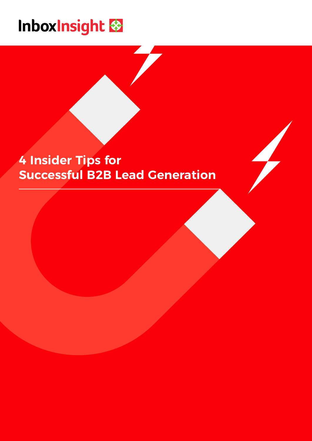## Inboxinsight

## **4 Insider Tips for Successful B2B Lead Generation**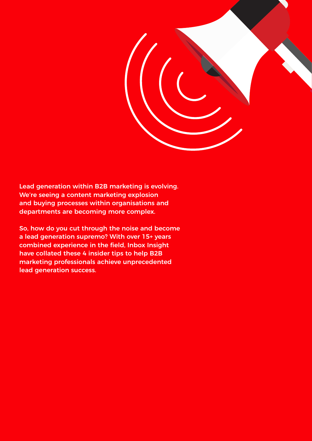

Lead generation within B2B marketing is evolving. We're seeing a content marketing explosion and buying processes within organisations and departments are becoming more complex.

So, how do you cut through the noise and become a lead generation supremo? With over 15+ years combined experience in the field, Inbox Insight have collated these 4 insider tips to help B2B marketing professionals achieve unprecedented lead generation success.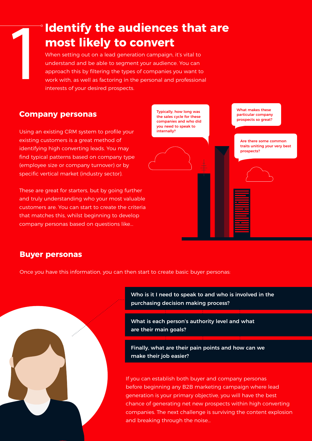### **Identify the audiences that are most likely to convert**

**1 When setting out on a lead generation campaign, it's vital to understand and be able to segment your audience. You can approach this by filtering the types of companies you want to work with, as well as factoring in the** understand and be able to segment your audience. You can approach this by filtering the types of companies you want to work with, as well as factoring in the personal and professional interests of your desired prospects.

#### **Company personas**

Using an existing CRM system to profile your existing customers is a great method of identifying high converting leads. You may find typical patterns based on company type (employee size or company turnover) or by specific vertical market (industry sector).

These are great for starters, but by going further and truly understanding who your most valuable customers are. You can start to create the criteria that matches this, whilst beginning to develop company personas based on questions like...

Typically, how long was the sales cycle for these companies and who did you need to speak to internally?

What makes these particular company prospects so great?

Are there some common traits uniting your very best prospects?

#### **Buyer personas**

Once you have this information, you can then start to create basic buyer personas:



Who is it I need to speak to and who is involved in the purchasing decision making process?

What is each person's authority level and what are their main goals?

Finally, what are their pain points and how can we make their job easier?

If you can establish both buyer and company personas before beginning any B2B marketing campaign where lead generation is your primary objective, you will have the best chance of generating net new prospects within high converting companies. The next challenge is surviving the content explosion and breaking through the noise…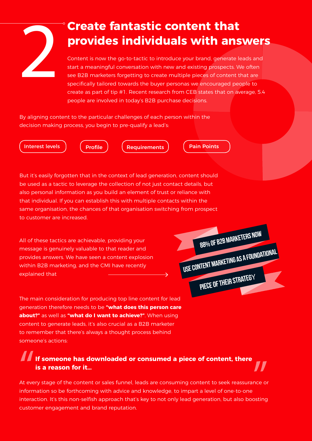### **Create fantastic content that provides individuals with answers**

**2 Create fantastic content that<br>
Drovides individuals with answer**<br>
Content is now the go-to-tactic to introduce your brand, generate leads and<br>
start a meaningful conversation with new and existing prospects. We often<br>
s start a meaningful conversation with new and existing prospects. We often see B2B marketers forgetting to create multiple pieces of content that are specifically tailored towards the buyer personas we encouraged people to create as part of tip #1. Recent research from CEB states that on average, 5.4 people are involved in today's B2B purchase decisions.

By aligning content to the particular challenges of each person within the decision making process, you begin to pre-qualify a lead's:

Interest levels  $\int$  (Profile ) (Requirements ) (Pain Points

But it's easily forgotten that in the context of lead generation, content should be used as a tactic to leverage the collection of not just contact details, but also personal information as you build an element of trust or reliance with that individual. If you can establish this with multiple contacts within the same organisation, the chances of that organisation switching from prospect to customer are increased.

All of these tactics are achievable, providing your message is genuinely valuable to that reader and provides answers. We have seen a content explosion within B2B marketing, and the CMI have recently explained that

The main consideration for producing top line content for lead generation therefore needs to be **"what does this person care about?"** as well as **"what do I want to achieve?"**. When using content to generate leads, it's also crucial as a B2B marketer to remember that there's always a thought process behind someone's actions:

## **If someone has downloaded or consumed a piece of content, there is a reason for it…** |<br>At eve

 $\prod_{n \in \mathbb{N}}$ At every stage of the content or sales funnel, leads are consuming content to seek reassurance or information so be forthcoming with advice and knowledge, to impart a level of one-to-one interaction. It's this non-selfish approach that's key to not only lead generation, but also boosting customer engagement and brand reputation.

88% OF B2B MARKETERS NOW PIECE OF THEIR STRATEGY USE CONTENT MARKETING AS A FOUNDATIONAL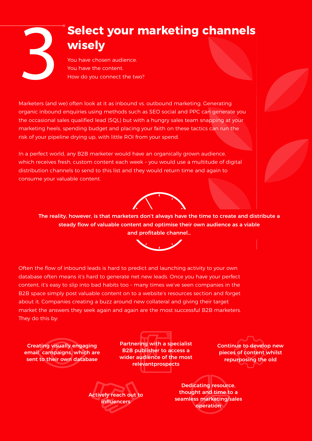## 3 **Select your marketing channels wisely**

You have chosen audience. You have the content. How do you connect the two?

Marketers (and we) often look at it as inbound vs. outbound marketing. Generating organic inbound enquiries using methods such as SEO social and PPC can generate you the occasional sales qualified lead (SQL) but with a hungry sales team snapping at your marketing heels, spending budget and placing your faith on these tactics can run the risk of your pipeline drying up, with little ROI from your spend.

In a perfect world, any B2B marketer would have an organically grown audience, which receives fresh, custom content each week – you would use a multitude of digital distribution channels to send to this list and they would return time and again to consume your valuable content.



The reality, however, is that marketers don't always have the time to create and distribute a steady flow of valuable content and optimise their own audience as a viable and profitable channel…



Often the flow of inbound leads is hard to predict and launching activity to your own database often means it's hard to generate net new leads. Once you have your perfect content, it's easy to slip into bad habits too – many times we've seen companies in the B2B space simply post valuable content on to a website's resources section and forget about it. Companies creating a buzz around new collateral and giving their target market the answers they seek again and again are the most successful B2B marketers. They do this by:

Creating visually engaging email campaigns, which are sent to their own database

Partnering with a specialist B2B publisher to access a wider audience of the most relevantprospects

Continue to develop new pieces of content whilst repurposing the old

Actively reach out to **influencers** 

Dedicating resource, thought and time to a seamless marketing/sales operation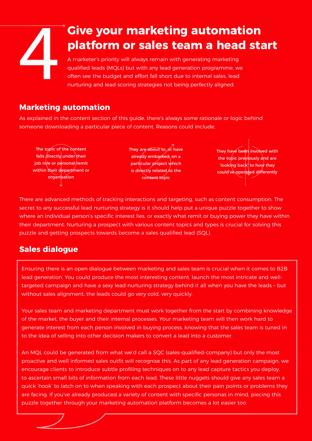# **Give your marketing automation platform or sales team a head stand stand in the parallel and stand stand and team set the budget and effort fall short due to internal sales, lead nurturing and lead scoring strategies not platform or sales team a head start** A marketer's priority will always remain with generating marketing

qualified leads (MQLs) but with any lead generation programme, we often see the budget and effort fall short due to internal sales, lead nurturing and lead scoring strategies not being perfectly aligned.

#### **Marketing automation**

As explained in the content section of this guide, there's always some rationale or logic behind someone downloading a particular piece of content. Reasons could include;

The topic of the content  $f$ alls directly under their job role or personal remit within their department or organisation

They are about to, or have already embarked, on a particular project which is directly related to the content topic

They have been involved with the topic previously and are 'looking back' to how they could've operated differently

There are advanced methods of tracking interactions and targeting, such as content consumption. The secret to any successful lead nurturing strategy is it should help put a unique puzzle together to show where an individual person's specific interest lies, or exactly what remit or buying power they have within their department. Nurturing a prospect with various content topics and types is crucial for solving this puzzle and getting prospects towards become a sales qualified lead (SQL).

### **Sales dialogue**

lead generation. You could produce the most interesting content, launch the most intricate and welland sales team is crucial when it comes to B2B lead in the generated beginned it client comes to be generated the without sales alignment, the leads could go very cold, very quickly.<br>Without sales alignment, the leads could go very cold, very quickly. SQC (sales-qualified- company) but only the most targeted campaign and have a sexy lead nurturing strategy behind it all when you have the leads – but Ensuring there is an open dialogue between marketing and sales team is crucial when it comes to B2B

Your sales team and marketing department must work together from the start by combining knowledge of the market, the buyer and their internal processes. Your marketing team will then work hard to generate interest from each person involved in buying process, knowing that the sales team is tuned in to the idea of selling into other decision makers to convert a lead into a customer.

of market could be generated from what we'd d proactive and well informed sales outfit will recognise this. As part of any lead generation campaign, we encourage clients to introduce subtle profiling techniques on to any lead capture tactics you deploy, to ascertain small bits of information from each lead. These little nuggets should give any sales team a quick 'hook' to latch on to when speaking with each prospect about their pain points or problems they are facing. If you've already produced a variety of content with specific personas in mind, piecing this An MQL could be generated from what we'd call a SQC (sales-qualified-company) but only the most together through your marketing automation puzzle together through your marketing automation platform becomes a lot easier too.<br>.